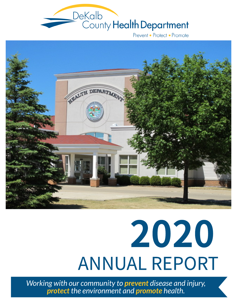

Prevent • Protect • Promote



# 2020 ANNUAL REPORT

*Working with our community to prevent disease and injury, protect the environment and promote health.*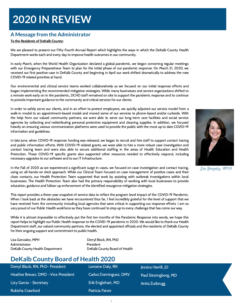# **2020 IN REVIEW**

#### **A Message from the Administrator**

#### To the Residents of DeKalb County:

We are pleased to present our Fifty-Fourth Annual Report which highlights the ways in which the DeKalb County Health Department works each and every day to improve health outcomes in our community.

In early March, when the World Health Organization declared a global pandemic, we began convening regular meetings with our Emergency Preparedness Team to plan for the initial phase of our pandemic response. On March 21, 2020, we received our first positive case in DeKalb County and beginning in April our work shifted dramatically to address the new COVID-19 related priorities at hand.

Our environmental and clinical service teams worked collaboratively as we focused on our initial response efforts and began implementing the recommended mitigation strategies. While many businesses and service organizations shifted to a remote work early on in the pandemic, DCHD staff remained on site to support the pandemic response and to continue to provide important guidance to the community and critical services for our clients.

In order to safely serve our clients, and in an effort to protect employees, we quickly adjusted our service model from a walk-in model to an appointment-based model and moved some of our services to phone-based and/or curbside. With the help from our valued community partners, we were able to serve our long-term care facilities and social service agencies by collecting and redistributing personal protective equipment and cleaning supplies. In addition, we focused heavily on ensuring various communication platforms were used to provide the public with the most up to date COVID-19 information and guidelines.

In late June, when COVID-19 response funding was released, we began to recruit and hire staff to support contact tracing and public information efforts. With COVID-19 related grants, we were able to hire a more robust case investigation and contact tracing team and were also able to secure additional staffing in the areas of Health Education and Health Protection. These COVID-19 specific grants also supported other resources needed to effectively respond, including necessary upgrades to our software and to our IT infrastructure.

In the Fall of 2020 as we experienced a significant surge in cases, we focused on case investigation and contact tracing, using an all-hands-on deck approach. While our Clinical Team focused on case management of positive cases and their close contacts, our Health Protection Team supported that work by assisting with outbreak investigations within local businesses. The Health Protection Team also had the primary responsibility of working with local businesses to provide education, guidance and follow-up enforcement of the identified resurgence mitigation strategies.

This report provides a three-year snapshot of service data to reflect the program level impact of the COVID-19 Pandemic. When I look back at the obstacles we have encountered thus far, I feel incredibly grateful for the level of support that we have received from the community including local agencies that were critical in supporting our response efforts. I am so very proud of our Public Health workforce as they have continued to step up to every challenge that has come our way.

While it is almost impossible to effectively put the first ten months of the Pandemic Response into words, we hope this report helps to highlight our Public Health response to the COVID-19 pandemic in 2020. We would like to thank our Health Department staff, our valued community partners, the elected and appointed officials and the residents of DeKalb County for their ongoing support and commitment to public health.

Lisa Gonzalez, MPH Derryl Block, RN, PhD Administrator **President** DeKalb County Health Department DeKalb County Board of Health

### **DeKalb County Board of Health 2020**

| Derryl Block, RN, PhD- President     | Lorraine Daly, RN     | Jessica Harrill, JD |
|--------------------------------------|-----------------------|---------------------|
| Heather Breuer, DMD - Vice President | Carlos Dominguez, DMV | Paul Stromgborg, MD |
| Lizy Garcia - Secretary              | Erik Englehart, MD    | Anita Zurbrugg      |
| Rukisha Crawford                     | Patricia Faivre       |                     |



Lisa Gonzalez, MPH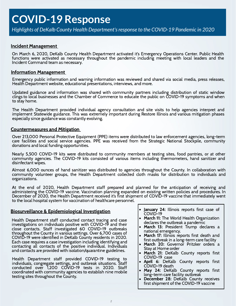#### Incident Management

On March 6, 2020, DeKalb County Health Department activated it's Emergency Operations Center. Public Health functions were activated as necessary throughout the pandemic including meeting with local leaders and the Incident Command team as necessary.

#### Information Management

Emergency public information and warning information was reviewed and shared via social media, press releases, Health Department website, educational presentations, interviews, and more.

Updated guidance and information was shared with community partners including distribution of static window clings to local businesses and the Chamber of Commerce to educate the public on COVID-19 symptoms and when to stay home.

The Health Department provided individual agency consultation and site visits to help agencies interpret and implement Statewide guidance. This was extremely important during Restore Illinois and various mitigation phases especially since guidance was constantly evolving.

#### Countermeasures and Mitigation

Over 213,000 Personal Protective Equipment (PPE) items were distributed to law enforcement agencies, long-term care facilities and social service agencies. PPE was received from the Strategic National Stockpile, community donations and local funding opportunities.

Nearly 5,500 COVID-19 kits were distributed to community members at testing sites, food pantries, or at other community agencies. The COVID-19 kits consisted of various items including thermometers, hand sanitizer and disinfectant wipes.

Almost 6,000 ounces of hand sanitizer was distributed to agencies throughout the County. In collaboration with community volunteer groups, the Health Department collected cloth masks for distribution to individuals and organizations.

At the end of 2020, Health Department staff prepared and planned for the anticipation of receiving and administering the COVID-19 vaccine. Vaccination planning expanded on existing written policies and procedures. In December of 2020, the Health Department received it's first shipment of COVID-19 vaccine that immediately went to the local hospital system for vaccination of healthcare personnel.

#### Biosurveillance & Epidemiological Investigation

Health Department staff conducted contact tracing and case investigations on individuals positive with COVID-19 and their close contacts. Staff investigated 60 COVID-19 outbreaks throughout the County in various settings. Over 6,700 cases of COVID-19 were identified in DeKalb County residents in 2020. Each case requires a case investigation including identifying and contacting all contacts of the positive individual. Individuals and contacts are provided with isolation/quarantine guidelines.

Health Department staff provided COVID-19 testing to individuals, congregate settings, and outbreak situations. Staff conducted over 1,200 COVID-19 tests in 2020. Staff coordinated with community agencies to establish nine mobile testing sites throughout the County.

- January 24: Illinois reports first case of COVID-19
- March 11: The World Health Organization declares the outbreak a pandemic
- March 13: President Trump declares a national emergency.
- March 17: Illinois reports first death and first outbreak in a long-term care facility
- March 20: Governor Pritzker orders a Stay at Home order
- March 21: DeKalb County reports first COVID-19 case
- April 6: DeKalb County reports first COVID-19 death
- May 24: DeKalb County reports first long-term care facility outbreak
- December 28: DeKalb County receives first shipment of the COVID-19 vaccine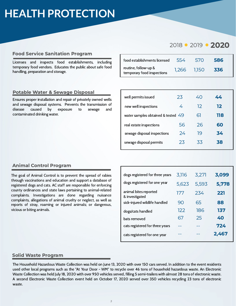# **HEALTH PROTECTION**

#### Food Service Sanitation Program

Licenses and inspects food establishments, including temporary food vendors. Educates the public about safe food handling, preparation and storage.

#### Potable Water & Sewage Disposal

Ensures proper installation and repair of privately owned wells and sewage disposal systems. Prevents the transmission of disease caused by exposure to sewage and contaminated drinking water.

### 2018 · 2019 · 2020

| food establishments licensed                       | 554   | -570  | 586 |
|----------------------------------------------------|-------|-------|-----|
| routine, follow-up &<br>temporary food inspections | 1,266 | 1.150 | 336 |

| 23                                   | 40 | 44  |
|--------------------------------------|----|-----|
| 4                                    | 12 | 12  |
| water samples obtained & tested $49$ | 61 | 118 |
| 56                                   | 26 | 60  |
| 24                                   | 19 | 34  |
| 23                                   | 33 | 38  |
|                                      |    |     |

#### Animal Control Program

The goal of Animal Control is to prevent the spread of rabies through vaccinations and education and support a database of registered dogs and cats. AC staff are responsible for enforcing county ordinances and state laws pertaining to animal-related complaints. Investigations are done regarding nuisance complaints, allegations of animal cruelty or neglect, as well as reports of stray, roaming or injured animals; or dangerous, vicious or biting animals.

| dogs registered for three years         | 3,116 | 3,271 | 3,099 |
|-----------------------------------------|-------|-------|-------|
| dogs registered for one year            | 5,623 | 5,593 | 5,778 |
| animal bites reported<br>& investigated | 177   | 234   | 221   |
| sick-injured wildlife handled           | 90    | 65    | 88    |
| dogs/cats handled                       | 122   | 186   | 137   |
| bats removed                            | 67    | 25    | 40    |
| cats registered for three years         |       |       | 724   |
| cats registered for one year            |       |       | 2,467 |

#### Solid Waste Program

The Household Hazardous Waste Collection was held on June 13, 2020 with over 150 cars served. In addition to the event residents used other local programs such as the "At Your Door - WM" to recycle over 46 tons of household hazardous waste. An Electronic Waste Collection was held July 18, 2020 with over 950 vehicles served, filling 5 semi-trailers with almost 28 tons of electronic waste. A second Electronic Waste Collection event held on October 17, 2020 served over 350 vehicles recycling 23 tons of electronic waste.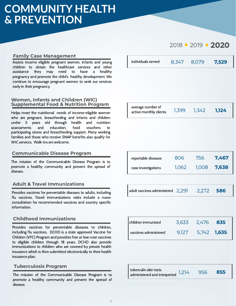# **COMMUNITY HEALTH & PREVENTION**

#### Family Case Management

Assists income eligible pregnant women, infants and young children to obtain the healthcare services and other assistance they may need to have a healthy pregnancy and promote the child's healthy development. We continue to encourage pregnant women to seek our services early in their pregnancy.

#### Women, Infants and Children (WIC) Supplemental Food & Nutrition Program

Helps meet the nutritional needs of income-eligible women who are pregnant, breastfeeding and infants and children under 5 years old through health and nutrition assessments and education, food vouchers to participating stores and breastfeeding support. Many working families and those who receive SNAP benefits also qualify for WIC services. Walk-ins are welcome.

#### Communicable Disease Program

The mission of the Communicable Disease Program is to promote a healthy community and prevent the spread of disease.

#### Adult & Travel Immunizations

Provides vaccines for preventable diseases to adults, including flu vaccines. Travel immunizations visits include a nurse consultation for recommended vaccines and country specific information.

#### Childhood Immunizations

Provides vaccines for preventable diseases to children, including flu vaccines. DCHD is a state approved Vaccine for Children (VFC) Program and provides free or low-cost vaccines to eligible children through 18 years. DCHD also provide immunizations to children who are covered by private health insurance which is then submitted electronically to their health insurance plan.

#### Tuberculosis Program

The mission of the Communicable Disease Program is to promote a healthy community and prevent the spread of disease.

| individuals served | 8.347 | 8.079 | 7,529 |
|--------------------|-------|-------|-------|
|                    |       |       |       |

2018 2019 2020

| average number of<br>1,399<br>1,124<br>1,342<br>active monthly clients |
|------------------------------------------------------------------------|
|------------------------------------------------------------------------|

| reportable diseases | 806   | 756   | 7,467 |
|---------------------|-------|-------|-------|
| case investigations | 1,062 | 1,008 | 7.638 |

| adult vaccines administered 2,291 | 2,272 586 |  |
|-----------------------------------|-----------|--|
|                                   |           |  |

| children immunized      | 3.633 | 2.476       | 835 |
|-------------------------|-------|-------------|-----|
| l vaccines administered | 9.127 | 5,742 1,635 |     |

| tuberculin skin tests                               |     |     |
|-----------------------------------------------------|-----|-----|
|                                                     | 956 | 855 |
| $\cdot$ administered and interpreted $\sqrt{1,214}$ |     |     |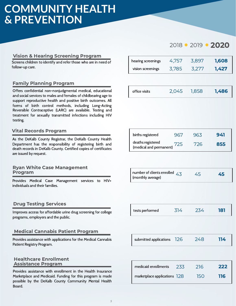# **COMMUNITY HEALTH & PREVENTION**

#### Vision & Hearing Screening Program

Screens children to identify and refer those who are in need of follow-up care.

#### Family Planning Program

Offers confidential non-nonjudgmental medical, educational and social services to males and females of childbearing age to support reproductive health and positive birth outcomes. All forms of birth control methods, including Long-Acting Reversible Contraceptive (LARC) are available. Testing and treatment for sexually transmitted infections including HIV testing.

#### Vital Records Program

As the DeKalb County Registrar, the DeKalb County Health Department has the responsibility of registering birth and death records in DeKalb County. Certified copies of certificates are issued by request.

#### Ryan White Case Management Program

Provides Medical Case Management services to HIV+ individuals and their families.

#### Drug Testing Services

Improves access for affordable urine drug screening for college programs, employers and the public.

#### Medical Cannabis Patient Program

Provides assistance with applications for the Medical Cannabis Patient Registry Program.

#### Healthcare Enrollment Assistance Program

Provides assistance with enrollment in the Health Insurance Marketplace and Medicaid. Funding for this program is made possible by the DeKalb County Community Mental Health Board.

### 2018 2019 2020

| hearing screenings | 4.757 | 3.897 | 1,608 |
|--------------------|-------|-------|-------|
| vision screenings  | 3.785 | 3277  | 1,427 |

| office visits | 2,045 | 1,858 | 1,486 |
|---------------|-------|-------|-------|
|---------------|-------|-------|-------|

| births registered                            | 967 | 963 | 941 |
|----------------------------------------------|-----|-----|-----|
| deaths registered<br>(medical and permanent) | 725 | 726 | 855 |

| , number of clients enrolled $\overline{43}$<br>(monthly average) | 45 | 45 |
|-------------------------------------------------------------------|----|----|
|                                                                   |    |    |

| 314<br>tests performed | 234 | 181 |
|------------------------|-----|-----|
|------------------------|-----|-----|

| submitted applications   26 | 248<br>114 |
|-----------------------------|------------|
|-----------------------------|------------|

| medicaid enrollments           | 233 | 216  | 222        |
|--------------------------------|-----|------|------------|
| marketplace applications $128$ |     | 150. | <b>116</b> |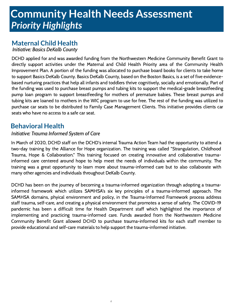## **Community Health Needs**.**Assessment** *Priority Highlights*

### **Maternal Child Health**

Initiative: Basics DeKalb County

DCHD applied for and was awarded funding from the Northwestern Medicine Community Benefit Grant to directly support activities under the Maternal and Child Health Priority area of the Community Health Improvement Plan. A portion of the funding was allocated to purchase board books for clients to take home to support Basics DeKalb County. Basics DeKalb County, based on the Boston Basics, is a set of five evidencebased nurturing practices that help all infants and toddlers thrive cognitively, socially and emotionally. Part of the funding was used to purchase breast pumps and tubing kits to support the medical-grade breastfeeding pump loan program to support breastfeeding for mothers of premature babies. These breast pumps and tubing kits are loaned to mothers in the WIC program to use for free. The rest of the funding was utilized to purchase car seats to be distributed to Family Case Management Clients. This initiative provides clients car seats who have no access to a safe car seat.

### **Behavioral Health**

#### Initiative: Trauma Informed System of Care

In March of 2020, DCHD staff on the DCHD's internal Trauma Action Team had the opportunity to attend a two-day training by the Alliance for Hope organization. The training was called "Strangulation, Childhood Trauma, Hope & Collaboration." This training focused on creating innovative and collaborative traumainformed care centered around hope to help meet the needs of individuals within the community. The training was a great opportunity to learn more about trauma-informed care but to also collaborate with many other agencies and individuals throughout DeKalb County.

DCHD has been on the journey of becoming a trauma-informed organization through adopting a traumainformed framework which utilizes SAMHSA's six key principles of a trauma-informed approach. The SAMHSA domains, phyical environment and policy, in the Trauma-Informed Framework process address staff trauma, self-care, and creating a physical environment that promotes a sense of safety. The COVID-19 pandemic has been a difficult time for Health Department staff which highlighted the importance of implementing and practicing trauma-informed care. Funds awarded from the Northwestern Medicine Community Benefit Grant allowed DCHD to purchase trauma-informed kits for each staff member to provide educational and self-care materials to help support the trauma-informed initiative.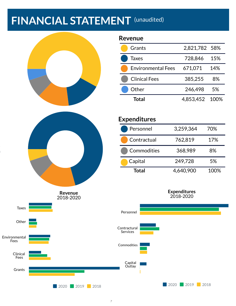# **FINANCIAL STATEMENT** (unaudited)



**2020 2019 2018** 

### *7*

**Expenditures** 2018-2020

**2020 2019 2018**